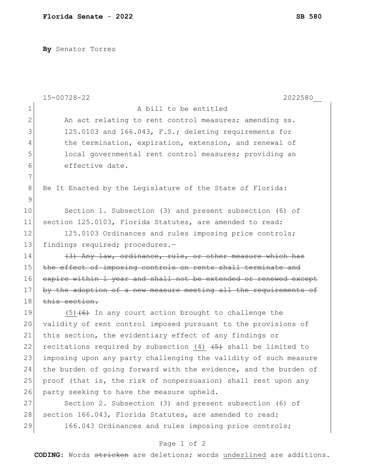**By** Senator Torres

|              | $15 - 00728 - 22$<br>2022580                                     |
|--------------|------------------------------------------------------------------|
| $\mathbf 1$  | A bill to be entitled                                            |
| $\mathbf{2}$ | An act relating to rent control measures; amending ss.           |
| 3            | 125.0103 and 166.043, F.S.; deleting requirements for            |
| 4            | the termination, expiration, extension, and renewal of           |
| 5            | local governmental rent control measures; providing an           |
| 6            | effective date.                                                  |
| 7            |                                                                  |
| $\,8\,$      | Be It Enacted by the Legislature of the State of Florida:        |
| 9            |                                                                  |
| 10           | Section 1. Subsection (3) and present subsection (6) of          |
| 11           | section 125.0103, Florida Statutes, are amended to read:         |
| 12           | 125.0103 Ordinances and rules imposing price controls;           |
| 13           | findings required; procedures.-                                  |
| 14           | (3) Any law, ordinance, rule, or other measure which has         |
| 15           | the effect of imposing controls on rents shall terminate and     |
| 16           | expire within 1 year and shall not be extended or renewed except |
| 17           | by the adoption of a new measure meeting all the requirements of |
| 18           | this section.                                                    |
| 19           | $(5)$ +6+ In any court action brought to challenge the           |
| 20           | validity of rent control imposed pursuant to the provisions of   |
| 21           | this section, the evidentiary effect of any findings or          |
| 22           | recitations required by subsection (4) $(5)$ shall be limited to |
| 23           | imposing upon any party challenging the validity of such measure |
| 24           | the burden of going forward with the evidence, and the burden of |
| 25           | proof (that is, the risk of nonpersuasion) shall rest upon any   |
| 26           | party seeking to have the measure upheld.                        |
| 27           | Section 2. Subsection (3) and present subsection (6) of          |
| 28           | section 166.043, Florida Statutes, are amended to read:          |
| 29           | 166.043 Ordinances and rules imposing price controls;            |
|              | Page 1 of 2                                                      |

**CODING**: Words stricken are deletions; words underlined are additions.